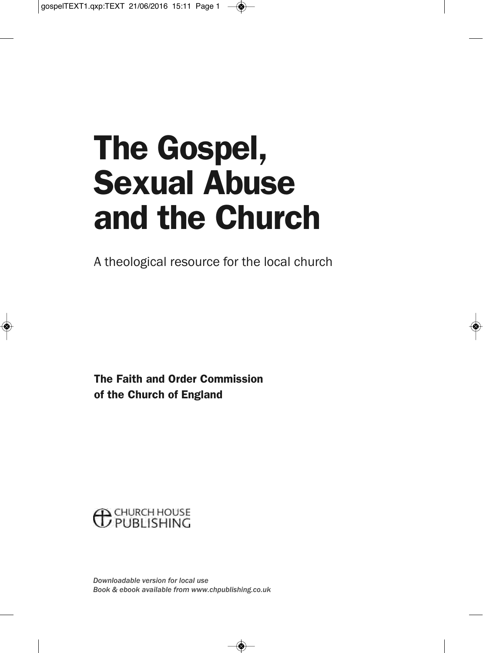# **The Gospel, Sexual Abuse and the Church**

A theological resource for the local church

**The Faith and Order Commission of the Church of England**

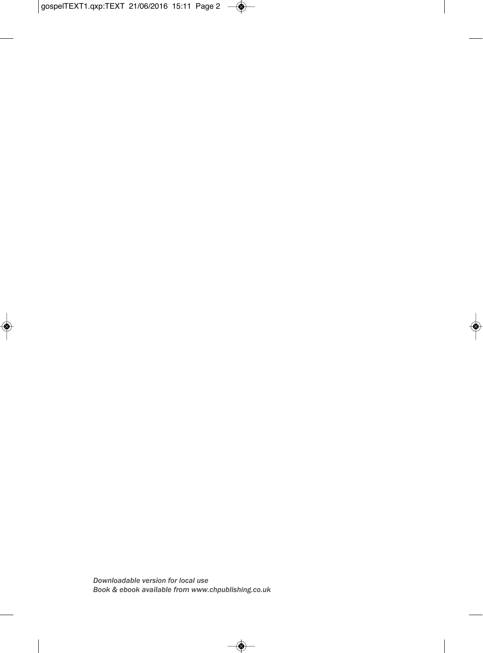*Downloadable version for local use Book & ebook available from www.chpublishing.co.uk*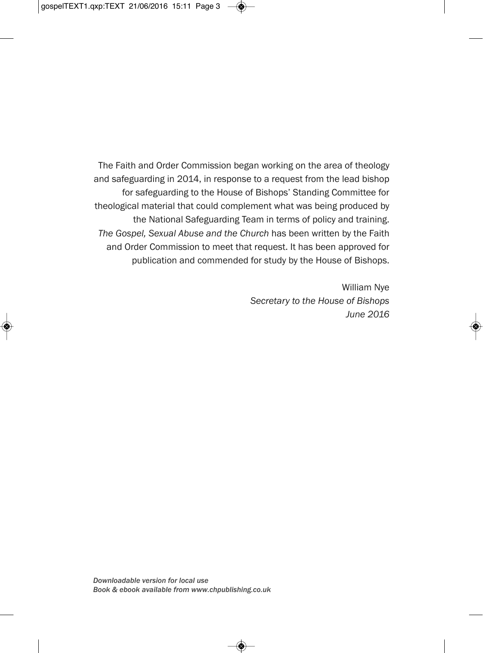The Faith and Order Commission began working on the area of theology and safeguarding in 2014, in response to a request from the lead bishop for safeguarding to the House of Bishops' Standing Committee for theological material that could complement what was being produced by the National Safeguarding Team in terms of policy and training. *The Gospel, Sexual Abuse and the Church* has been written by the Faith and Order Commission to meet that request. It has been approved for publication and commended for study by the House of Bishops.

> William Nye *Secretary to the House of Bishops June 2016*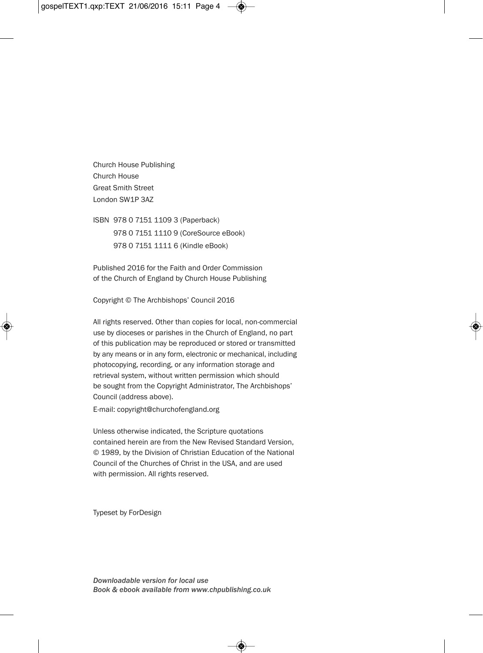Church House Publishing Church House Great Smith Street London SW1P 3AZ

ISBN 978 0 7151 1109 3 (Paperback) 978 0 7151 1110 9 (CoreSource eBook) 978 0 7151 1111 6 (Kindle eBook)

Published 2016 for the Faith and Order Commission of the Church of England by Church House Publishing

Copyright © The Archbishops' Council 2016

All rights reserved. Other than copies for local, non-commercial use by dioceses or parishes in the Church of England, no part of this publication may be reproduced or stored or transmitted by any means or in any form, electronic or mechanical, including photocopying, recording, or any information storage and retrieval system, without written permission which should be sought from the Copyright Administrator, The Archbishops' Council (address above).

E-mail: copyright@churchofengland.org

Unless otherwise indicated, the Scripture quotations contained herein are from the New Revised Standard Version, © 1989, by the Division of Christian Education of the National Council of the Churches of Christ in the USA, and are used with permission. All rights reserved.

Typeset by ForDesign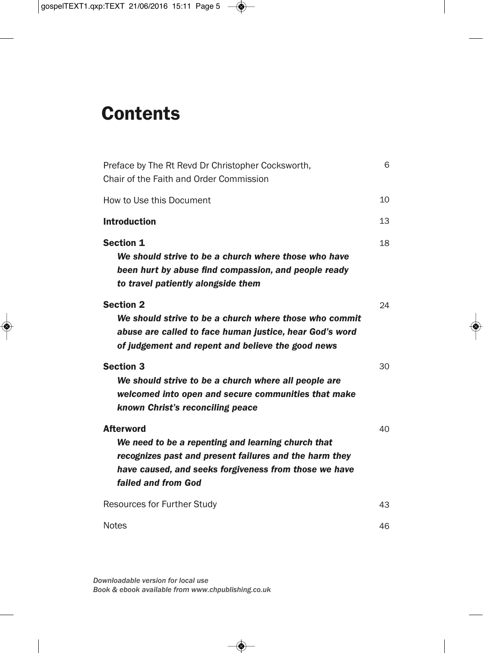# **Contents**

| Preface by The Rt Revd Dr Christopher Cocksworth,<br>Chair of the Faith and Order Commission                                                                                                                     | 6  |
|------------------------------------------------------------------------------------------------------------------------------------------------------------------------------------------------------------------|----|
| How to Use this Document                                                                                                                                                                                         | 10 |
| <b>Introduction</b>                                                                                                                                                                                              | 13 |
| <b>Section 1</b><br>We should strive to be a church where those who have<br>been hurt by abuse find compassion, and people ready<br>to travel patiently alongside them                                           | 18 |
| <b>Section 2</b><br>We should strive to be a church where those who commit<br>abuse are called to face human justice, hear God's word<br>of judgement and repent and believe the good news                       | 24 |
| <b>Section 3</b><br>We should strive to be a church where all people are<br>welcomed into open and secure communities that make<br>known Christ's reconciling peace                                              | 30 |
| <b>Afterword</b><br>We need to be a repenting and learning church that<br>recognizes past and present failures and the harm they<br>have caused, and seeks forgiveness from those we have<br>failed and from God | 40 |
| Resources for Further Study                                                                                                                                                                                      | 43 |
| <b>Notes</b>                                                                                                                                                                                                     | 46 |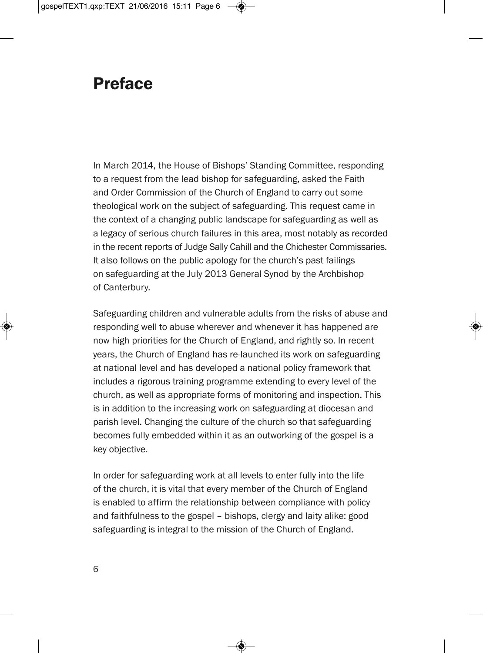#### **Preface**

In March 2014, the House of Bishops' Standing Committee, responding to a request from the lead bishop for safeguarding, asked the Faith and Order Commission of the Church of England to carry out some theological work on the subject of safeguarding. This request came in the context of a changing public landscape for safeguarding as well as a legacy of serious church failures in this area, most notably as recorded in the recent reports of Judge Sally Cahill and the Chichester Commissaries. It also follows on the public apology for the church's past failings on safeguarding at the July 2013 General Synod by the Archbishop of Canterbury.

Safeguarding children and vulnerable adults from the risks of abuse and responding well to abuse wherever and whenever it has happened are now high priorities for the Church of England, and rightly so. In recent years, the Church of England has re-launched its work on safeguarding at national level and has developed a national policy framework that includes a rigorous training programme extending to every level of the church, as well as appropriate forms of monitoring and inspection. This is in addition to the increasing work on safeguarding at diocesan and parish level. Changing the culture of the church so that safeguarding becomes fully embedded within it as an outworking of the gospel is a key objective.

In order for safeguarding work at all levels to enter fully into the life of the church, it is vital that every member of the Church of England is enabled to affirm the relationship between compliance with policy and faithfulness to the gospel – bishops, clergy and laity alike: good safeguarding is integral to the mission of the Church of England.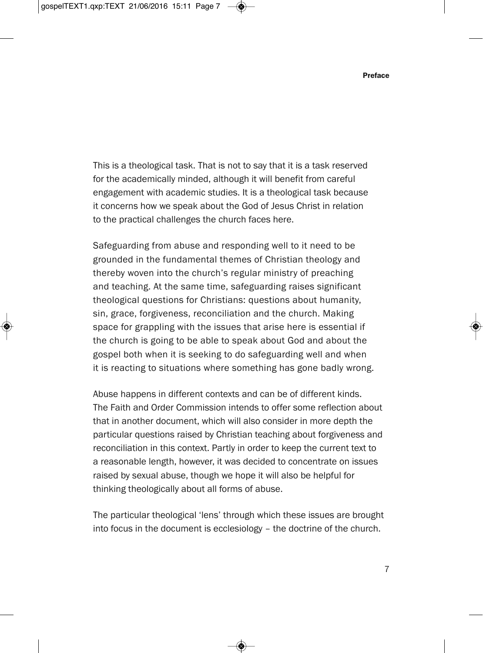This is a theological task. That is not to say that it is a task reserved for the academically minded, although it will benefit from careful engagement with academic studies. It is a theological task because it concerns how we speak about the God of Jesus Christ in relation to the practical challenges the church faces here.

Safeguarding from abuse and responding well to it need to be grounded in the fundamental themes of Christian theology and thereby woven into the church's regular ministry of preaching and teaching. At the same time, safeguarding raises significant theological questions for Christians: questions about humanity, sin, grace, forgiveness, reconciliation and the church. Making space for grappling with the issues that arise here is essential if the church is going to be able to speak about God and about the gospel both when it is seeking to do safeguarding well and when it is reacting to situations where something has gone badly wrong.

Abuse happens in different contexts and can be of different kinds. The Faith and Order Commission intends to offer some reflection about that in another document, which will also consider in more depth the particular questions raised by Christian teaching about forgiveness and reconciliation in this context. Partly in order to keep the current text to a reasonable length, however, it was decided to concentrate on issues raised by sexual abuse, though we hope it will also be helpful for thinking theologically about all forms of abuse.

The particular theological 'lens' through which these issues are brought into focus in the document is ecclesiology – the doctrine of the church.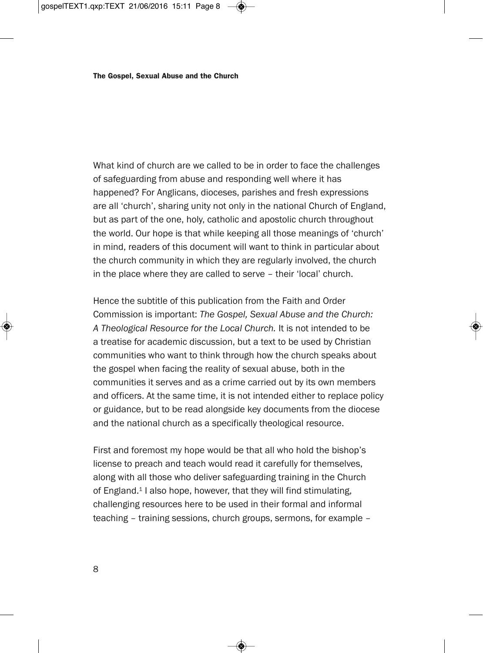What kind of church are we called to be in order to face the challenges of safeguarding from abuse and responding well where it has happened? For Anglicans, dioceses, parishes and fresh expressions are all 'church', sharing unity not only in the national Church of England, but as part of the one, holy, catholic and apostolic church throughout the world. Our hope is that while keeping all those meanings of 'church' in mind, readers of this document will want to think in particular about the church community in which they are regularly involved, the church in the place where they are called to serve – their 'local' church.

Hence the subtitle of this publication from the Faith and Order Commission is important: *The Gospel, Sexual Abuse and the Church: A Theological Resource for the Local Church.* It is not intended to be a treatise for academic discussion, but a text to be used by Christian communities who want to think through how the church speaks about the gospel when facing the reality of sexual abuse, both in the communities it serves and as a crime carried out by its own members and officers. At the same time, it is not intended either to replace policy or guidance, but to be read alongside key documents from the diocese and the national church as a specifically theological resource.

First and foremost my hope would be that all who hold the bishop's license to preach and teach would read it carefully for themselves, along with all those who deliver safeguarding training in the Church of England.<sup>1</sup> I also hope, however, that they will find stimulating, challenging resources here to be used in their formal and informal teaching – training sessions, church groups, sermons, for example –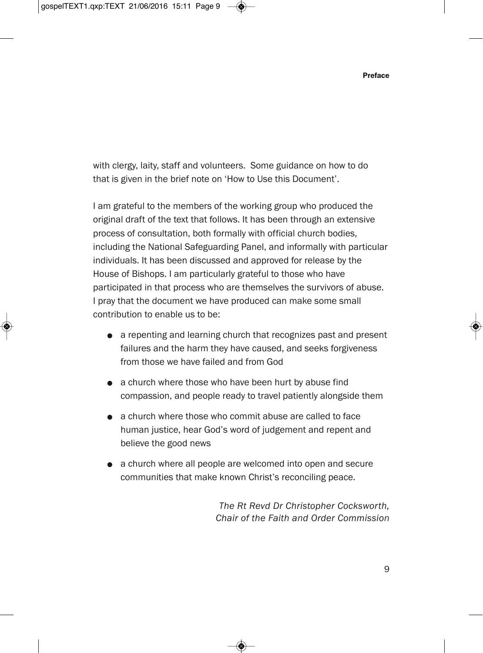with clergy, laity, staff and volunteers. Some guidance on how to do that is given in the brief note on 'How to Use this Document'.

I am grateful to the members of the working group who produced the original draft of the text that follows. It has been through an extensive process of consultation, both formally with official church bodies, including the National Safeguarding Panel, and informally with particular individuals. It has been discussed and approved for release by the House of Bishops. I am particularly grateful to those who have participated in that process who are themselves the survivors of abuse. I pray that the document we have produced can make some small contribution to enable us to be:

- a repenting and learning church that recognizes past and present failures and the harm they have caused, and seeks forgiveness from those we have failed and from God
- a church where those who have been hurt by abuse find compassion, and people ready to travel patiently alongside them
- a church where those who commit abuse are called to face human justice, hear God's word of judgement and repent and believe the good news
- a church where all people are welcomed into open and secure communities that make known Christ's reconciling peace.

*The Rt Revd Dr Christopher Cocksworth, Chair of the Faith and Order Commission*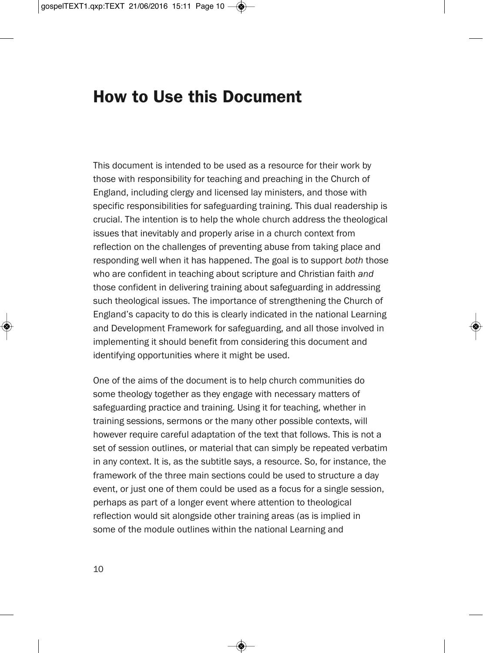#### **How to Use this Document**

This document is intended to be used as a resource for their work by those with responsibility for teaching and preaching in the Church of England, including clergy and licensed lay ministers, and those with specific responsibilities for safeguarding training. This dual readership is crucial. The intention is to help the whole church address the theological issues that inevitably and properly arise in a church context from reflection on the challenges of preventing abuse from taking place and responding well when it has happened. The goal is to support *both* those who are confident in teaching about scripture and Christian faith *and* those confident in delivering training about safeguarding in addressing such theological issues. The importance of strengthening the Church of England's capacity to do this is clearly indicated in the national Learning and Development Framework for safeguarding, and all those involved in implementing it should benefit from considering this document and identifying opportunities where it might be used.

One of the aims of the document is to help church communities do some theology together as they engage with necessary matters of safeguarding practice and training. Using it for teaching, whether in training sessions, sermons or the many other possible contexts, will however require careful adaptation of the text that follows. This is not a set of session outlines, or material that can simply be repeated verbatim in any context. It is, as the subtitle says, a resource. So, for instance, the framework of the three main sections could be used to structure a day event, or just one of them could be used as a focus for a single session, perhaps as part of a longer event where attention to theological reflection would sit alongside other training areas (as is implied in some of the module outlines within the national Learning and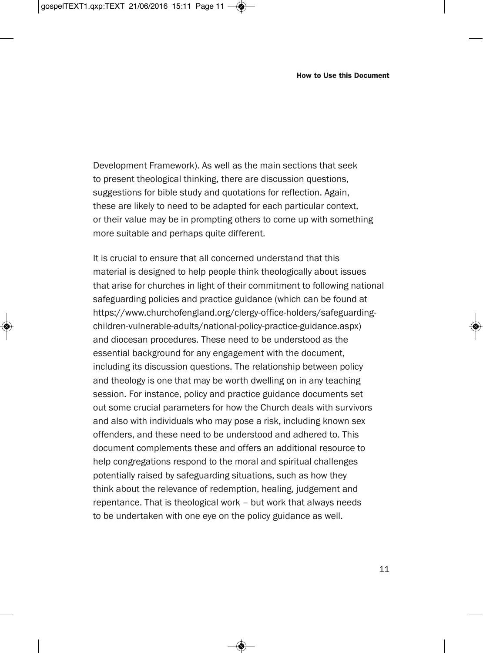Development Framework). As well as the main sections that seek to present theological thinking, there are discussion questions, suggestions for bible study and quotations for reflection. Again, these are likely to need to be adapted for each particular context, or their value may be in prompting others to come up with something more suitable and perhaps quite different.

It is crucial to ensure that all concerned understand that this material is designed to help people think theologically about issues that arise for churches in light of their commitment to following national safeguarding policies and practice guidance (which can be found at https://www.churchofengland.org/clergy-office-holders/safeguardingchildren-vulnerable-adults/national-policy-practice-guidance.aspx) and diocesan procedures. These need to be understood as the essential background for any engagement with the document, including its discussion questions. The relationship between policy and theology is one that may be worth dwelling on in any teaching session. For instance, policy and practice guidance documents set out some crucial parameters for how the Church deals with survivors and also with individuals who may pose a risk, including known sex offenders, and these need to be understood and adhered to. This document complements these and offers an additional resource to help congregations respond to the moral and spiritual challenges potentially raised by safeguarding situations, such as how they think about the relevance of redemption, healing, judgement and repentance. That is theological work – but work that always needs to be undertaken with one eye on the policy guidance as well.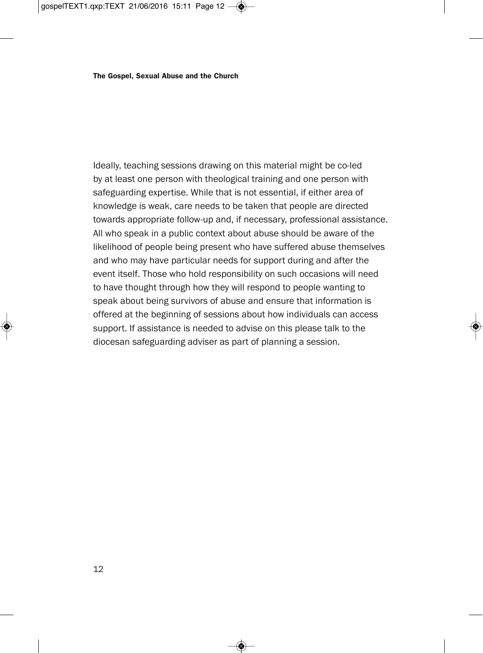Ideally, teaching sessions drawing on this material might be co-led by at least one person with theological training and one person with safeguarding expertise. While that is not essential, if either area of knowledge is weak, care needs to be taken that people are directed towards appropriate follow-up and, if necessary, professional assistance. All who speak in a public context about abuse should be aware of the likelihood of people being present who have suffered abuse themselves and who may have particular needs for support during and after the event itself. Those who hold responsibility on such occasions will need to have thought through how they will respond to people wanting to speak about being survivors of abuse and ensure that information is offered at the beginning of sessions about how individuals can access support. If assistance is needed to advise on this please talk to the diocesan safeguarding adviser as part of planning a session.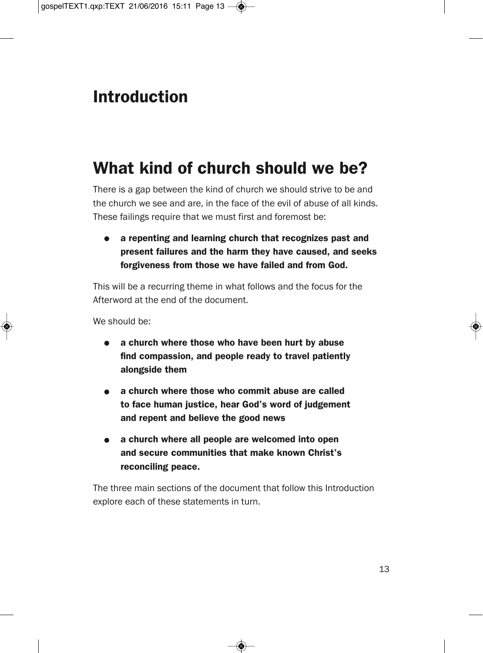# **Introduction**

# **What kind of church should we be?**

There is a gap between the kind of church we should strive to be and the church we see and are, in the face of the evil of abuse of all kinds. These failings require that we must first and foremost be:

• **a repenting and learning church that recognizes past and present failures and the harm they have caused, and seeks forgiveness from those we have failed and from God.**

This will be a recurring theme in what follows and the focus for the Afterword at the end of the document.

We should be:

- **a church where those who have been hurt by abuse find compassion, and people ready to travel patiently alongside them**
- **a church where those who commit abuse are called to face human justice, hear God's word of judgement and repent and believe the good news**
- **a church where all people are welcomed into open and secure communities that make known Christ's reconciling peace.**

The three main sections of the document that follow this Introduction explore each of these statements in turn.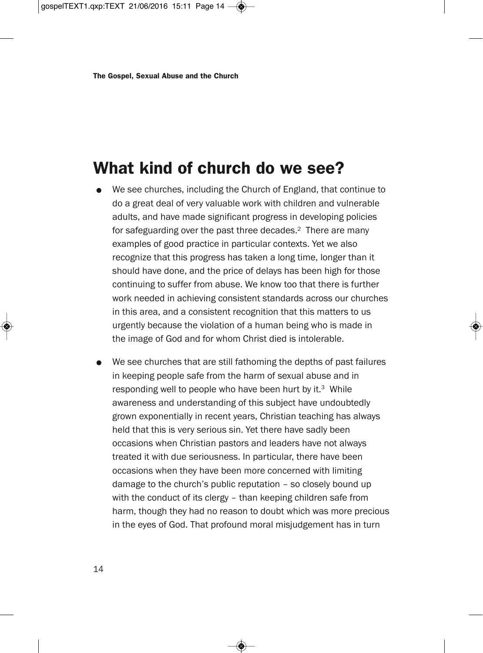# **What kind of church do we see?**

- We see churches, including the Church of England, that continue to do a great deal of very valuable work with children and vulnerable adults, and have made significant progress in developing policies for safeguarding over the past three decades.<sup>2</sup> There are many examples of good practice in particular contexts. Yet we also recognize that this progress has taken a long time, longer than it should have done, and the price of delays has been high for those continuing to suffer from abuse. We know too that there is further work needed in achieving consistent standards across our churches in this area, and a consistent recognition that this matters to us urgently because the violation of a human being who is made in the image of God and for whom Christ died is intolerable.
- We see churches that are still fathoming the depths of past failures in keeping people safe from the harm of sexual abuse and in responding well to people who have been hurt by it.<sup>3</sup> While awareness and understanding of this subject have undoubtedly grown exponentially in recent years, Christian teaching has always held that this is very serious sin. Yet there have sadly been occasions when Christian pastors and leaders have not always treated it with due seriousness. In particular, there have been occasions when they have been more concerned with limiting damage to the church's public reputation – so closely bound up with the conduct of its clergy – than keeping children safe from harm, though they had no reason to doubt which was more precious in the eyes of God. That profound moral misjudgement has in turn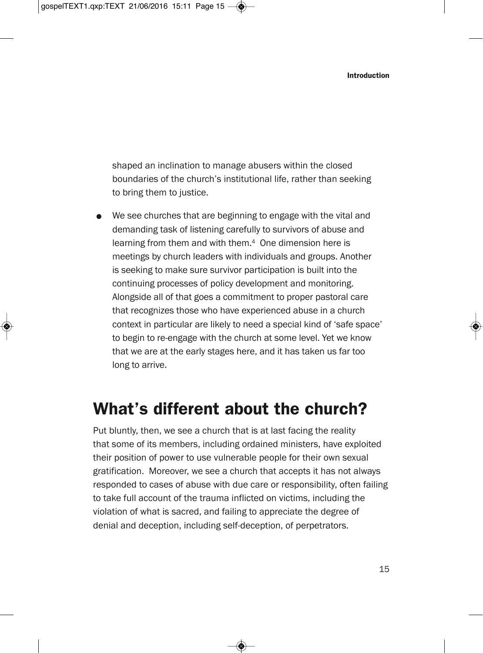shaped an inclination to manage abusers within the closed boundaries of the church's institutional life, rather than seeking to bring them to justice.

• We see churches that are beginning to engage with the vital and demanding task of listening carefully to survivors of abuse and learning from them and with them.<sup>4</sup> One dimension here is meetings by church leaders with individuals and groups. Another is seeking to make sure survivor participation is built into the continuing processes of policy development and monitoring. Alongside all of that goes a commitment to proper pastoral care that recognizes those who have experienced abuse in a church context in particular are likely to need a special kind of 'safe space' to begin to re-engage with the church at some level. Yet we know that we are at the early stages here, and it has taken us far too long to arrive.

#### **What's different about the church?**

Put bluntly, then, we see a church that is at last facing the reality that some of its members, including ordained ministers, have exploited their position of power to use vulnerable people for their own sexual gratification. Moreover, we see a church that accepts it has not always responded to cases of abuse with due care or responsibility, often failing to take full account of the trauma inflicted on victims, including the violation of what is sacred, and failing to appreciate the degree of denial and deception, including self-deception, of perpetrators.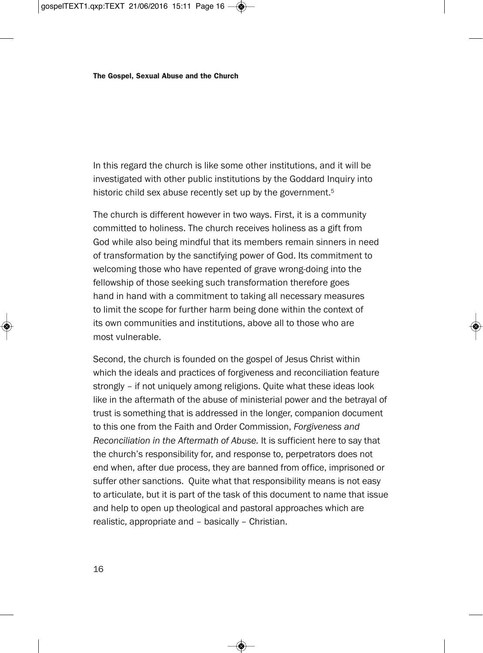In this regard the church is like some other institutions, and it will be investigated with other public institutions by the Goddard Inquiry into historic child sex abuse recently set up by the government.<sup>5</sup>

The church is different however in two ways. First, it is a community committed to holiness. The church receives holiness as a gift from God while also being mindful that its members remain sinners in need of transformation by the sanctifying power of God. Its commitment to welcoming those who have repented of grave wrong-doing into the fellowship of those seeking such transformation therefore goes hand in hand with a commitment to taking all necessary measures to limit the scope for further harm being done within the context of its own communities and institutions, above all to those who are most vulnerable.

Second, the church is founded on the gospel of Jesus Christ within which the ideals and practices of forgiveness and reconciliation feature strongly – if not uniquely among religions. Quite what these ideas look like in the aftermath of the abuse of ministerial power and the betrayal of trust is something that is addressed in the longer, companion document to this one from the Faith and Order Commission, *Forgiveness and Reconciliation in the Aftermath of Abuse.* It is sufficient here to say that the church's responsibility for, and response to, perpetrators does not end when, after due process, they are banned from office, imprisoned or suffer other sanctions. Quite what that responsibility means is not easy to articulate, but it is part of the task of this document to name that issue and help to open up theological and pastoral approaches which are realistic, appropriate and – basically – Christian.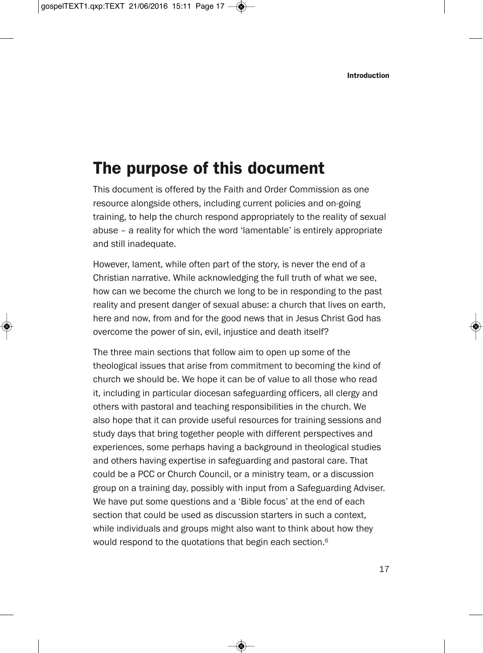### **The purpose of this document**

This document is offered by the Faith and Order Commission as one resource alongside others, including current policies and on-going training, to help the church respond appropriately to the reality of sexual abuse – a reality for which the word 'lamentable' is entirely appropriate and still inadequate.

However, lament, while often part of the story, is never the end of a Christian narrative. While acknowledging the full truth of what we see, how can we become the church we long to be in responding to the past reality and present danger of sexual abuse: a church that lives on earth, here and now, from and for the good news that in Jesus Christ God has overcome the power of sin, evil, injustice and death itself?

The three main sections that follow aim to open up some of the theological issues that arise from commitment to becoming the kind of church we should be. We hope it can be of value to all those who read it, including in particular diocesan safeguarding officers, all clergy and others with pastoral and teaching responsibilities in the church. We also hope that it can provide useful resources for training sessions and study days that bring together people with different perspectives and experiences, some perhaps having a background in theological studies and others having expertise in safeguarding and pastoral care. That could be a PCC or Church Council, or a ministry team, or a discussion group on a training day, possibly with input from a Safeguarding Adviser. We have put some questions and a 'Bible focus' at the end of each section that could be used as discussion starters in such a context, while individuals and groups might also want to think about how they would respond to the quotations that begin each section.<sup>6</sup>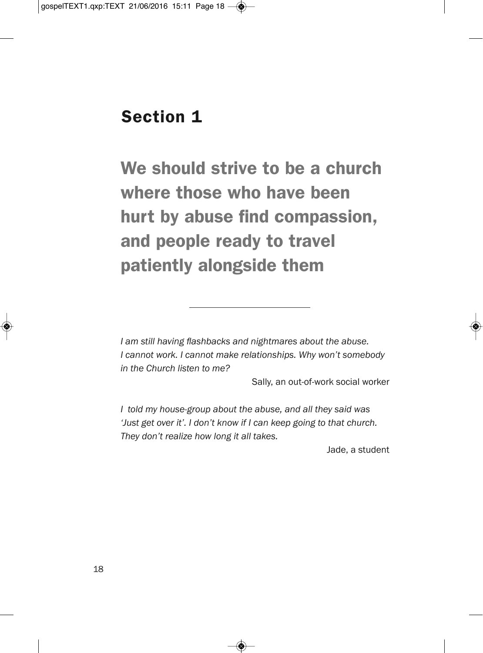## **Section 1**

**We should strive to be a church where those who have been hurt by abuse find compassion, and people ready to travel patiently alongside them**

 *I am still having flashbacks and nightmares about the abuse. I cannot work. I cannot make relationships. Why won't somebody in the Church listen to me?*

Sally, an out-of-work social worker

 *I told my house-group about the abuse, and all they said was 'Just get over it'. I don't know if I can keep going to that church. They don't realize how long it all takes.*

Jade, a student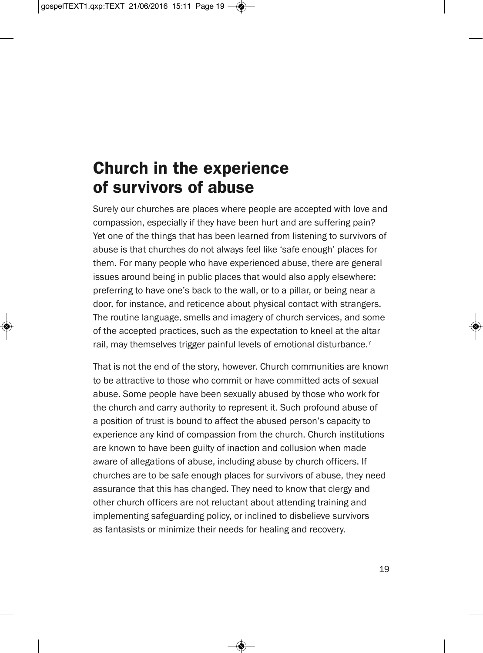#### **Church in the experience of survivors of abuse**

Surely our churches are places where people are accepted with love and compassion, especially if they have been hurt and are suffering pain? Yet one of the things that has been learned from listening to survivors of abuse is that churches do not always feel like 'safe enough' places for them. For many people who have experienced abuse, there are general issues around being in public places that would also apply elsewhere: preferring to have one's back to the wall, or to a pillar, or being near a door, for instance, and reticence about physical contact with strangers. The routine language, smells and imagery of church services, and some of the accepted practices, such as the expectation to kneel at the altar rail, may themselves trigger painful levels of emotional disturbance.<sup>7</sup>

That is not the end of the story, however. Church communities are known to be attractive to those who commit or have committed acts of sexual abuse. Some people have been sexually abused by those who work for the church and carry authority to represent it. Such profound abuse of a position of trust is bound to affect the abused person's capacity to experience any kind of compassion from the church. Church institutions are known to have been guilty of inaction and collusion when made aware of allegations of abuse, including abuse by church officers. If churches are to be safe enough places for survivors of abuse, they need assurance that this has changed. They need to know that clergy and other church officers are not reluctant about attending training and implementing safeguarding policy, or inclined to disbelieve survivors as fantasists or minimize their needs for healing and recovery.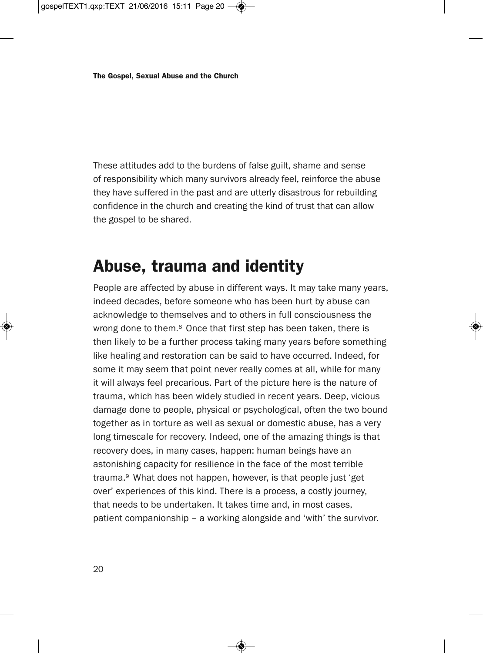These attitudes add to the burdens of false guilt, shame and sense of responsibility which many survivors already feel, reinforce the abuse they have suffered in the past and are utterly disastrous for rebuilding confidence in the church and creating the kind of trust that can allow the gospel to be shared.

## **Abuse, trauma and identity**

People are affected by abuse in different ways. It may take many years, indeed decades, before someone who has been hurt by abuse can acknowledge to themselves and to others in full consciousness the wrong done to them.<sup>8</sup> Once that first step has been taken, there is then likely to be a further process taking many years before something like healing and restoration can be said to have occurred. Indeed, for some it may seem that point never really comes at all, while for many it will always feel precarious. Part of the picture here is the nature of trauma, which has been widely studied in recent years. Deep, vicious damage done to people, physical or psychological, often the two bound together as in torture as well as sexual or domestic abuse, has a very long timescale for recovery. Indeed, one of the amazing things is that recovery does, in many cases, happen: human beings have an astonishing capacity for resilience in the face of the most terrible trauma.9 What does not happen, however, is that people just 'get over' experiences of this kind. There is a process, a costly journey, that needs to be undertaken. It takes time and, in most cases, patient companionship – a working alongside and 'with' the survivor.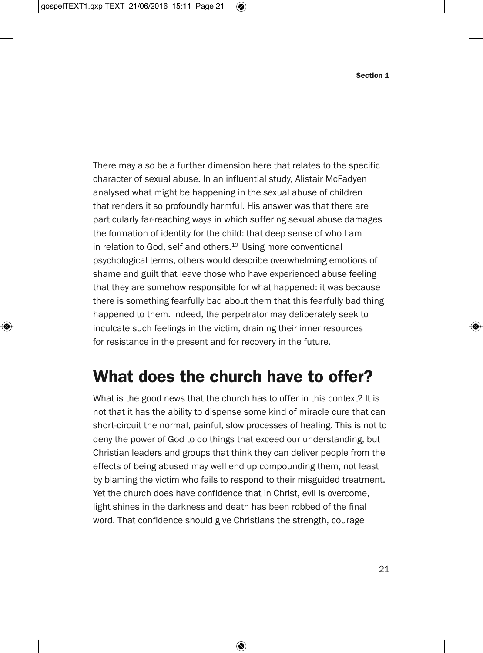There may also be a further dimension here that relates to the specific character of sexual abuse. In an influential study, Alistair McFadyen analysed what might be happening in the sexual abuse of children that renders it so profoundly harmful. His answer was that there are particularly far-reaching ways in which suffering sexual abuse damages the formation of identity for the child: that deep sense of who I am in relation to God, self and others.<sup>10</sup> Using more conventional psychological terms, others would describe overwhelming emotions of shame and guilt that leave those who have experienced abuse feeling that they are somehow responsible for what happened: it was because there is something fearfully bad about them that this fearfully bad thing happened to them. Indeed, the perpetrator may deliberately seek to inculcate such feelings in the victim, draining their inner resources for resistance in the present and for recovery in the future.

#### **What does the church have to offer?**

What is the good news that the church has to offer in this context? It is not that it has the ability to dispense some kind of miracle cure that can short-circuit the normal, painful, slow processes of healing. This is not to deny the power of God to do things that exceed our understanding, but Christian leaders and groups that think they can deliver people from the effects of being abused may well end up compounding them, not least by blaming the victim who fails to respond to their misguided treatment. Yet the church does have confidence that in Christ, evil is overcome, light shines in the darkness and death has been robbed of the final word. That confidence should give Christians the strength, courage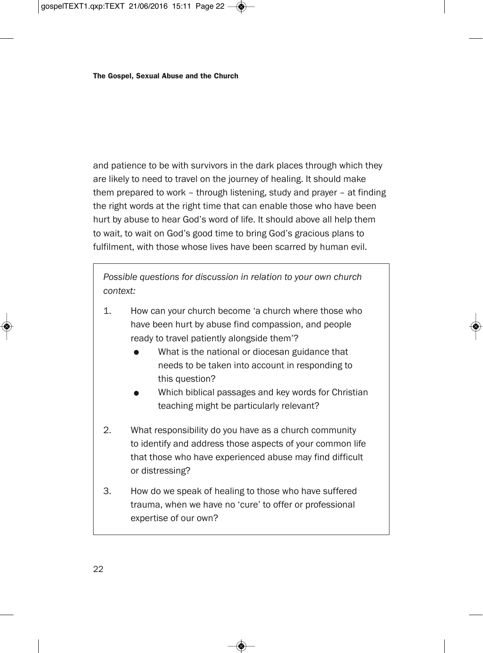and patience to be with survivors in the dark places through which they are likely to need to travel on the journey of healing. It should make them prepared to work – through listening, study and prayer – at finding the right words at the right time that can enable those who have been hurt by abuse to hear God's word of life. It should above all help them to wait, to wait on God's good time to bring God's gracious plans to fulfilment, with those whose lives have been scarred by human evil.

*Possible questions for discussion in relation to your own church context:*

- 1. How can your church become 'a church where those who have been hurt by abuse find compassion, and people ready to travel patiently alongside them'?
	- What is the national or diocesan guidance that needs to be taken into account in responding to this question?
	- Which biblical passages and key words for Christian teaching might be particularly relevant?
- 2. What responsibility do you have as a church community to identify and address those aspects of your common life that those who have experienced abuse may find difficult or distressing?
- 3. How do we speak of healing to those who have suffered trauma, when we have no 'cure' to offer or professional expertise of our own?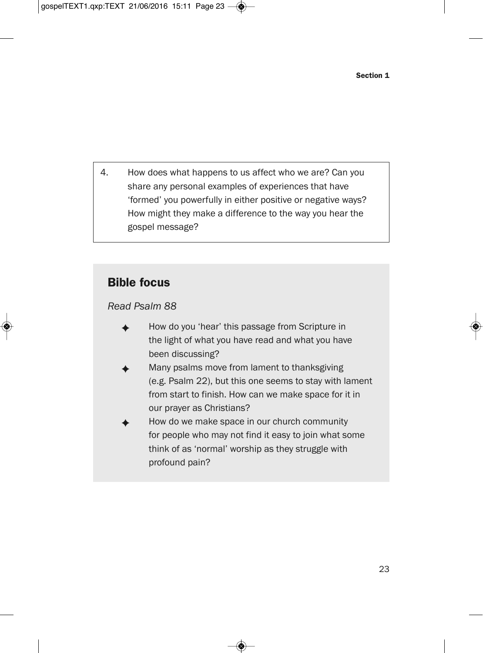4. How does what happens to us affect who we are? Can you share any personal examples of experiences that have 'formed' you powerfully in either positive or negative ways? How might they make a difference to the way you hear the gospel message?

#### **Bible focus**

*Read Psalm 88*

- **✦** How do you 'hear' this passage from Scripture in the light of what you have read and what you have been discussing?
- Many psalms move from lament to thanksgiving (e.g. Psalm 22), but this one seems to stay with lament from start to finish. How can we make space for it in our prayer as Christians?
- **✦** How do we make space in our church community for people who may not find it easy to join what some think of as 'normal' worship as they struggle with profound pain?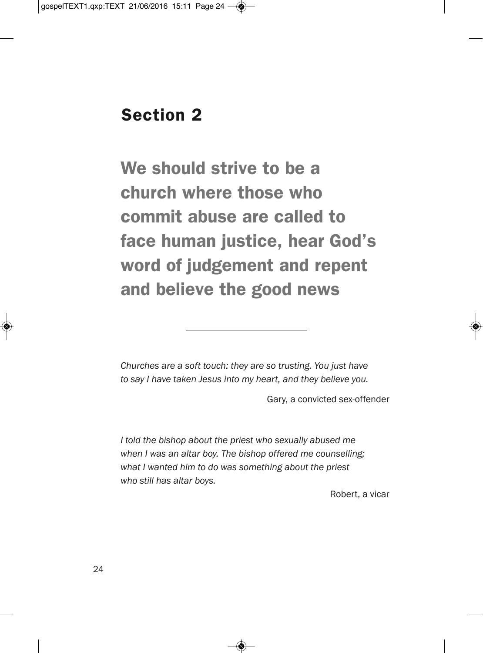## **Section 2**

**We should strive to be a church where those who commit abuse are called to face human justice, hear God's word of judgement and repent and believe the good news**

 *Churches are a soft touch: they are so trusting. You just have to say I have taken Jesus into my heart, and they believe you.*

Gary, a convicted sex-offender

 *I told the bishop about the priest who sexually abused me when I was an altar boy. The bishop offered me counselling; what I wanted him to do was something about the priest who still has altar boys.*

Robert, a vicar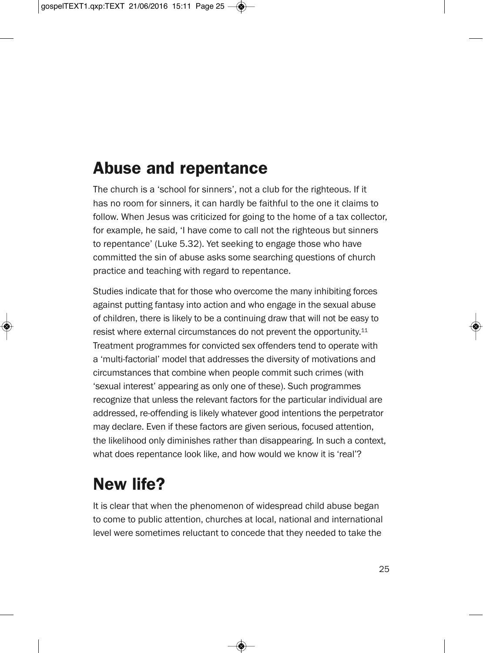# **Abuse and repentance**

The church is a 'school for sinners', not a club for the righteous. If it has no room for sinners, it can hardly be faithful to the one it claims to follow. When Jesus was criticized for going to the home of a tax collector, for example, he said, 'I have come to call not the righteous but sinners to repentance' (Luke 5.32). Yet seeking to engage those who have committed the sin of abuse asks some searching questions of church practice and teaching with regard to repentance.

Studies indicate that for those who overcome the many inhibiting forces against putting fantasy into action and who engage in the sexual abuse of children, there is likely to be a continuing draw that will not be easy to resist where external circumstances do not prevent the opportunity.<sup>11</sup> Treatment programmes for convicted sex offenders tend to operate with a 'multi-factorial' model that addresses the diversity of motivations and circumstances that combine when people commit such crimes (with 'sexual interest' appearing as only one of these). Such programmes recognize that unless the relevant factors for the particular individual are addressed, re-offending is likely whatever good intentions the perpetrator may declare. Even if these factors are given serious, focused attention, the likelihood only diminishes rather than disappearing. In such a context, what does repentance look like, and how would we know it is 'real'?

# **New life?**

It is clear that when the phenomenon of widespread child abuse began to come to public attention, churches at local, national and international level were sometimes reluctant to concede that they needed to take the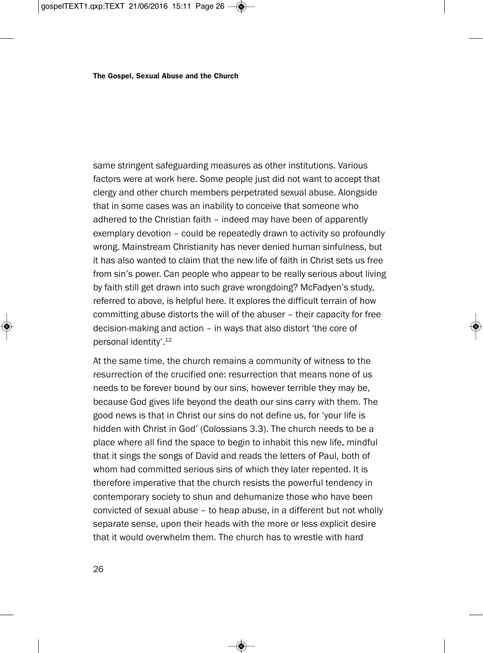same stringent safeguarding measures as other institutions. Various factors were at work here. Some people just did not want to accept that clergy and other church members perpetrated sexual abuse. Alongside that in some cases was an inability to conceive that someone who adhered to the Christian faith – indeed may have been of apparently exemplary devotion – could be repeatedly drawn to activity so profoundly wrong. Mainstream Christianity has never denied human sinfulness, but it has also wanted to claim that the new life of faith in Christ sets us free from sin's power. Can people who appear to be really serious about living by faith still get drawn into such grave wrongdoing? McFadyen's study, referred to above, is helpful here. It explores the difficult terrain of how committing abuse distorts the will of the abuser – their capacity for free decision-making and action – in ways that also distort 'the core of personal identity'.12

At the same time, the church remains a community of witness to the resurrection of the crucified one: resurrection that means none of us needs to be forever bound by our sins, however terrible they may be, because God gives life beyond the death our sins carry with them. The good news is that in Christ our sins do not define us, for 'your life is hidden with Christ in God' (Colossians 3.3). The church needs to be a place where all find the space to begin to inhabit this new life, mindful that it sings the songs of David and reads the letters of Paul, both of whom had committed serious sins of which they later repented. It is therefore imperative that the church resists the powerful tendency in contemporary society to shun and dehumanize those who have been convicted of sexual abuse – to heap abuse, in a different but not wholly separate sense, upon their heads with the more or less explicit desire that it would overwhelm them. The church has to wrestle with hard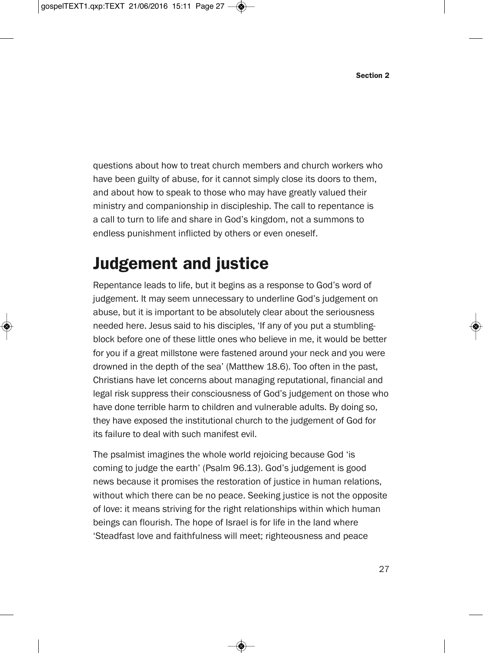questions about how to treat church members and church workers who have been guilty of abuse, for it cannot simply close its doors to them, and about how to speak to those who may have greatly valued their ministry and companionship in discipleship. The call to repentance is a call to turn to life and share in God's kingdom, not a summons to endless punishment inflicted by others or even oneself.

# **Judgement and justice**

Repentance leads to life, but it begins as a response to God's word of judgement. It may seem unnecessary to underline God's judgement on abuse, but it is important to be absolutely clear about the seriousness needed here. Jesus said to his disciples, 'If any of you put a stumblingblock before one of these little ones who believe in me, it would be better for you if a great millstone were fastened around your neck and you were drowned in the depth of the sea' (Matthew 18.6). Too often in the past, Christians have let concerns about managing reputational, financial and legal risk suppress their consciousness of God's judgement on those who have done terrible harm to children and vulnerable adults. By doing so, they have exposed the institutional church to the judgement of God for its failure to deal with such manifest evil.

The psalmist imagines the whole world rejoicing because God 'is coming to judge the earth' (Psalm 96.13). God's judgement is good news because it promises the restoration of justice in human relations, without which there can be no peace. Seeking justice is not the opposite of love: it means striving for the right relationships within which human beings can flourish. The hope of Israel is for life in the land where 'Steadfast love and faithfulness will meet; righteousness and peace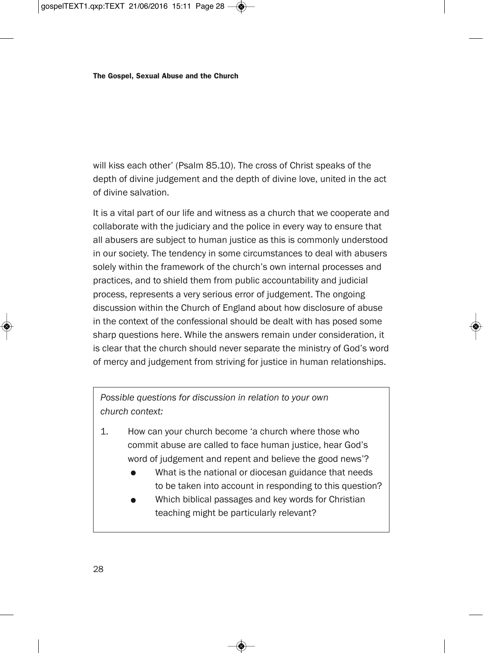will kiss each other' (Psalm 85.10). The cross of Christ speaks of the depth of divine judgement and the depth of divine love, united in the act of divine salvation.

It is a vital part of our life and witness as a church that we cooperate and collaborate with the judiciary and the police in every way to ensure that all abusers are subject to human justice as this is commonly understood in our society. The tendency in some circumstances to deal with abusers solely within the framework of the church's own internal processes and practices, and to shield them from public accountability and judicial process, represents a very serious error of judgement. The ongoing discussion within the Church of England about how disclosure of abuse in the context of the confessional should be dealt with has posed some sharp questions here. While the answers remain under consideration, it is clear that the church should never separate the ministry of God's word of mercy and judgement from striving for justice in human relationships.

*Possible questions for discussion in relation to your own church context:*

- 1. How can your church become 'a church where those who commit abuse are called to face human justice, hear God's word of judgement and repent and believe the good news'?
	- What is the national or diocesan guidance that needs to be taken into account in responding to this question?
	- Which biblical passages and key words for Christian teaching might be particularly relevant?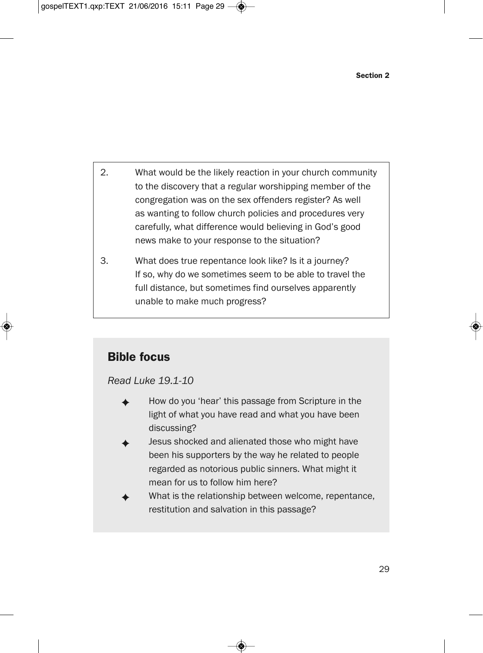- 2. What would be the likely reaction in your church community to the discovery that a regular worshipping member of the congregation was on the sex offenders register? As well as wanting to follow church policies and procedures very carefully, what difference would believing in God's good news make to your response to the situation?
- 3. What does true repentance look like? Is it a journey? If so, why do we sometimes seem to be able to travel the full distance, but sometimes find ourselves apparently unable to make much progress?

#### **Bible focus**

*Read Luke 19.1-10*

- **✦** How do you 'hear' this passage from Scripture in the light of what you have read and what you have been discussing?
- Jesus shocked and alienated those who might have been his supporters by the way he related to people regarded as notorious public sinners. What might it mean for us to follow him here?
- What is the relationship between welcome, repentance, restitution and salvation in this passage?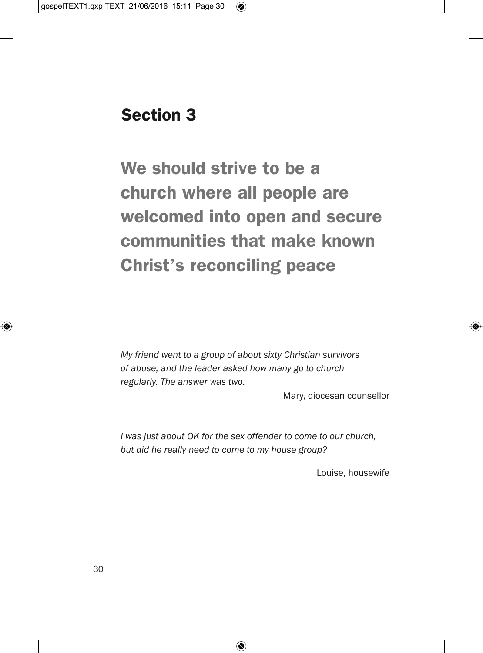#### **Section 3**

**We should strive to be a church where all people are welcomed into open and secure communities that make known Christ's reconciling peace**

 *My friend went to a group of about sixty Christian survivors of abuse, and the leader asked how many go to church regularly. The answer was two.*

Mary, diocesan counsellor

 *I was just about OK for the sex offender to come to our church, but did he really need to come to my house group?*

Louise, housewife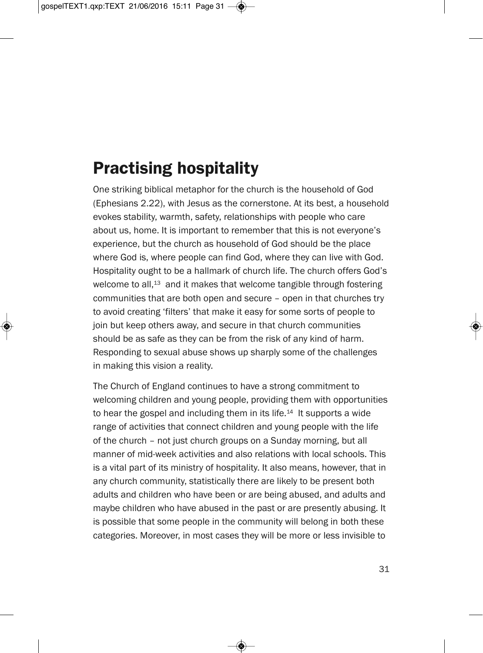# **Practising hospitality**

One striking biblical metaphor for the church is the household of God (Ephesians 2.22), with Jesus as the cornerstone. At its best, a household evokes stability, warmth, safety, relationships with people who care about us, home. It is important to remember that this is not everyone's experience, but the church as household of God should be the place where God is, where people can find God, where they can live with God. Hospitality ought to be a hallmark of church life. The church offers God's welcome to all,<sup>13</sup> and it makes that welcome tangible through fostering communities that are both open and secure – open in that churches try to avoid creating 'filters' that make it easy for some sorts of people to join but keep others away, and secure in that church communities should be as safe as they can be from the risk of any kind of harm. Responding to sexual abuse shows up sharply some of the challenges in making this vision a reality.

The Church of England continues to have a strong commitment to welcoming children and young people, providing them with opportunities to hear the gospel and including them in its life.<sup>14</sup> It supports a wide range of activities that connect children and young people with the life of the church – not just church groups on a Sunday morning, but all manner of mid-week activities and also relations with local schools. This is a vital part of its ministry of hospitality. It also means, however, that in any church community, statistically there are likely to be present both adults and children who have been or are being abused, and adults and maybe children who have abused in the past or are presently abusing. It is possible that some people in the community will belong in both these categories. Moreover, in most cases they will be more or less invisible to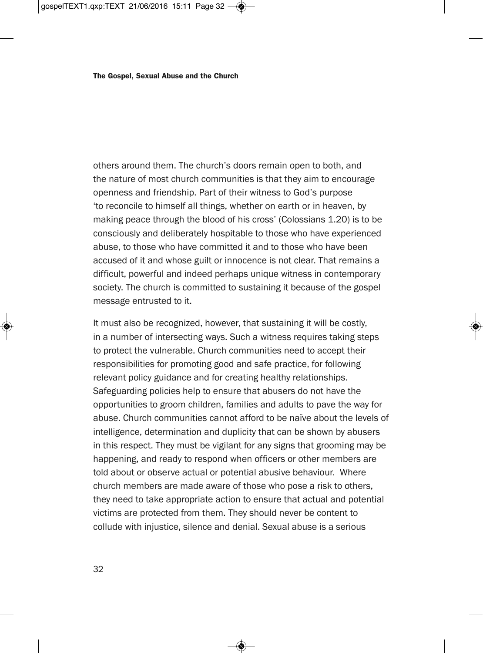others around them. The church's doors remain open to both, and the nature of most church communities is that they aim to encourage openness and friendship. Part of their witness to God's purpose 'to reconcile to himself all things, whether on earth or in heaven, by making peace through the blood of his cross' (Colossians 1.20) is to be consciously and deliberately hospitable to those who have experienced abuse, to those who have committed it and to those who have been accused of it and whose guilt or innocence is not clear. That remains a difficult, powerful and indeed perhaps unique witness in contemporary society. The church is committed to sustaining it because of the gospel message entrusted to it.

It must also be recognized, however, that sustaining it will be costly, in a number of intersecting ways. Such a witness requires taking steps to protect the vulnerable. Church communities need to accept their responsibilities for promoting good and safe practice, for following relevant policy guidance and for creating healthy relationships. Safeguarding policies help to ensure that abusers do not have the opportunities to groom children, families and adults to pave the way for abuse. Church communities cannot afford to be naïve about the levels of intelligence, determination and duplicity that can be shown by abusers in this respect. They must be vigilant for any signs that grooming may be happening, and ready to respond when officers or other members are told about or observe actual or potential abusive behaviour. Where church members are made aware of those who pose a risk to others, they need to take appropriate action to ensure that actual and potential victims are protected from them. They should never be content to collude with injustice, silence and denial. Sexual abuse is a serious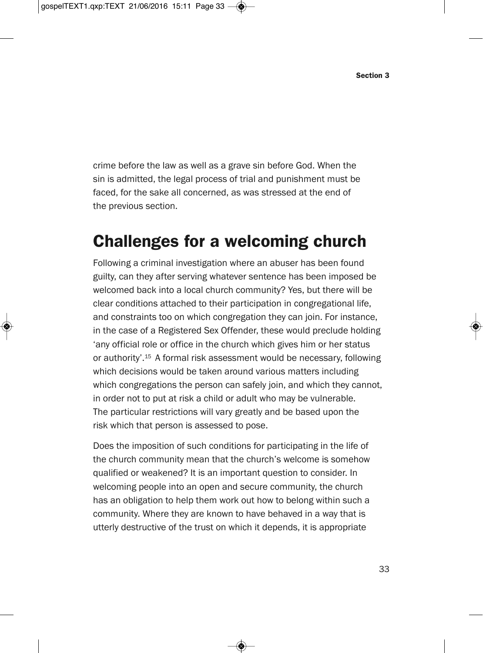crime before the law as well as a grave sin before God. When the sin is admitted, the legal process of trial and punishment must be faced, for the sake all concerned, as was stressed at the end of the previous section.

#### **Challenges for a welcoming church**

Following a criminal investigation where an abuser has been found guilty, can they after serving whatever sentence has been imposed be welcomed back into a local church community? Yes, but there will be clear conditions attached to their participation in congregational life, and constraints too on which congregation they can join. For instance, in the case of a Registered Sex Offender, these would preclude holding 'any official role or office in the church which gives him or her status or authority'.15 A formal risk assessment would be necessary, following which decisions would be taken around various matters including which congregations the person can safely join, and which they cannot, in order not to put at risk a child or adult who may be vulnerable. The particular restrictions will vary greatly and be based upon the risk which that person is assessed to pose.

Does the imposition of such conditions for participating in the life of the church community mean that the church's welcome is somehow qualified or weakened? It is an important question to consider. In welcoming people into an open and secure community, the church has an obligation to help them work out how to belong within such a community. Where they are known to have behaved in a way that is utterly destructive of the trust on which it depends, it is appropriate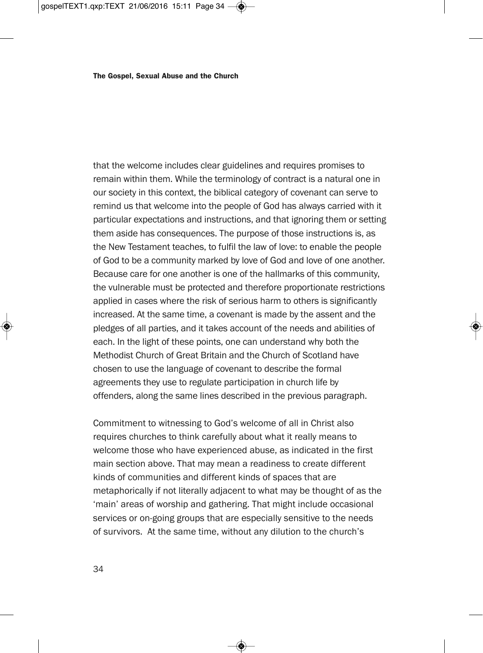that the welcome includes clear guidelines and requires promises to remain within them. While the terminology of contract is a natural one in our society in this context, the biblical category of covenant can serve to remind us that welcome into the people of God has always carried with it particular expectations and instructions, and that ignoring them or setting them aside has consequences. The purpose of those instructions is, as the New Testament teaches, to fulfil the law of love: to enable the people of God to be a community marked by love of God and love of one another. Because care for one another is one of the hallmarks of this community, the vulnerable must be protected and therefore proportionate restrictions applied in cases where the risk of serious harm to others is significantly increased. At the same time, a covenant is made by the assent and the pledges of all parties, and it takes account of the needs and abilities of each. In the light of these points, one can understand why both the Methodist Church of Great Britain and the Church of Scotland have chosen to use the language of covenant to describe the formal agreements they use to regulate participation in church life by offenders, along the same lines described in the previous paragraph.

Commitment to witnessing to God's welcome of all in Christ also requires churches to think carefully about what it really means to welcome those who have experienced abuse, as indicated in the first main section above. That may mean a readiness to create different kinds of communities and different kinds of spaces that are metaphorically if not literally adjacent to what may be thought of as the 'main' areas of worship and gathering. That might include occasional services or on-going groups that are especially sensitive to the needs of survivors. At the same time, without any dilution to the church's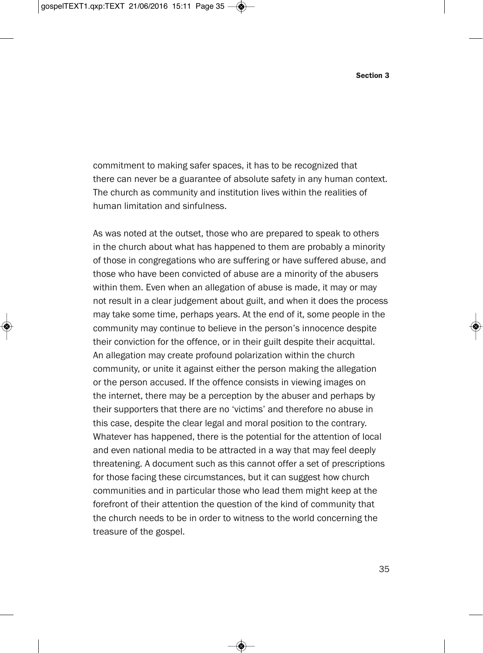commitment to making safer spaces, it has to be recognized that there can never be a guarantee of absolute safety in any human context. The church as community and institution lives within the realities of human limitation and sinfulness.

As was noted at the outset, those who are prepared to speak to others in the church about what has happened to them are probably a minority of those in congregations who are suffering or have suffered abuse, and those who have been convicted of abuse are a minority of the abusers within them. Even when an allegation of abuse is made, it may or may not result in a clear judgement about guilt, and when it does the process may take some time, perhaps years. At the end of it, some people in the community may continue to believe in the person's innocence despite their conviction for the offence, or in their guilt despite their acquittal. An allegation may create profound polarization within the church community, or unite it against either the person making the allegation or the person accused. If the offence consists in viewing images on the internet, there may be a perception by the abuser and perhaps by their supporters that there are no 'victims' and therefore no abuse in this case, despite the clear legal and moral position to the contrary. Whatever has happened, there is the potential for the attention of local and even national media to be attracted in a way that may feel deeply threatening. A document such as this cannot offer a set of prescriptions for those facing these circumstances, but it can suggest how church communities and in particular those who lead them might keep at the forefront of their attention the question of the kind of community that the church needs to be in order to witness to the world concerning the treasure of the gospel.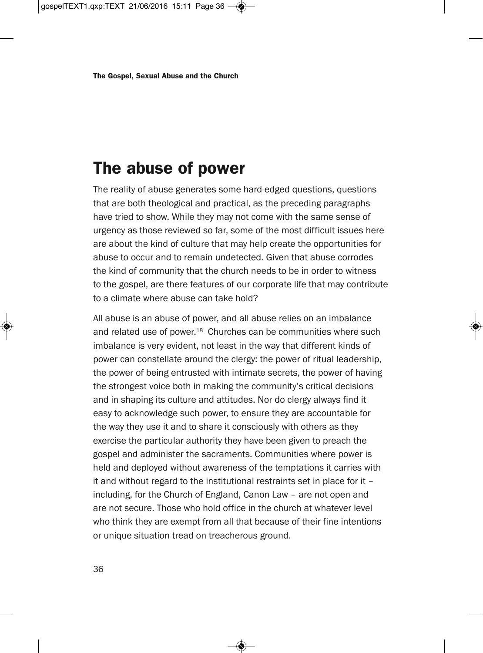# **The abuse of power**

The reality of abuse generates some hard-edged questions, questions that are both theological and practical, as the preceding paragraphs have tried to show. While they may not come with the same sense of urgency as those reviewed so far, some of the most difficult issues here are about the kind of culture that may help create the opportunities for abuse to occur and to remain undetected. Given that abuse corrodes the kind of community that the church needs to be in order to witness to the gospel, are there features of our corporate life that may contribute to a climate where abuse can take hold?

All abuse is an abuse of power, and all abuse relies on an imbalance and related use of power.<sup>18</sup> Churches can be communities where such imbalance is very evident, not least in the way that different kinds of power can constellate around the clergy: the power of ritual leadership, the power of being entrusted with intimate secrets, the power of having the strongest voice both in making the community's critical decisions and in shaping its culture and attitudes. Nor do clergy always find it easy to acknowledge such power, to ensure they are accountable for the way they use it and to share it consciously with others as they exercise the particular authority they have been given to preach the gospel and administer the sacraments. Communities where power is held and deployed without awareness of the temptations it carries with it and without regard to the institutional restraints set in place for it – including, for the Church of England, Canon Law – are not open and are not secure. Those who hold office in the church at whatever level who think they are exempt from all that because of their fine intentions or unique situation tread on treacherous ground.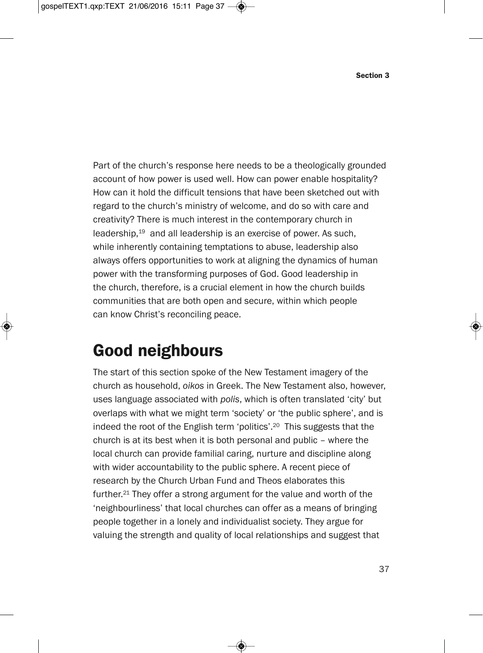Part of the church's response here needs to be a theologically grounded account of how power is used well. How can power enable hospitality? How can it hold the difficult tensions that have been sketched out with regard to the church's ministry of welcome, and do so with care and creativity? There is much interest in the contemporary church in leadership,19 and all leadership is an exercise of power. As such, while inherently containing temptations to abuse, leadership also always offers opportunities to work at aligning the dynamics of human power with the transforming purposes of God. Good leadership in the church, therefore, is a crucial element in how the church builds communities that are both open and secure, within which people can know Christ's reconciling peace.

## **Good neighbours**

The start of this section spoke of the New Testament imagery of the church as household, *oikos* in Greek. The New Testament also, however, uses language associated with *polis*, which is often translated 'city' but overlaps with what we might term 'society' or 'the public sphere', and is indeed the root of the English term 'politics'.20 This suggests that the church is at its best when it is both personal and public – where the local church can provide familial caring, nurture and discipline along with wider accountability to the public sphere. A recent piece of research by the Church Urban Fund and Theos elaborates this further.21 They offer a strong argument for the value and worth of the 'neighbourliness' that local churches can offer as a means of bringing people together in a lonely and individualist society. They argue for valuing the strength and quality of local relationships and suggest that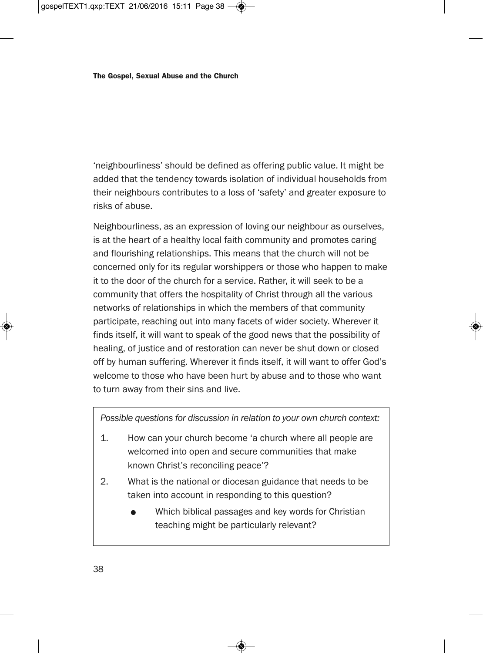'neighbourliness' should be defined as offering public value. It might be added that the tendency towards isolation of individual households from their neighbours contributes to a loss of 'safety' and greater exposure to risks of abuse.

Neighbourliness, as an expression of loving our neighbour as ourselves, is at the heart of a healthy local faith community and promotes caring and flourishing relationships. This means that the church will not be concerned only for its regular worshippers or those who happen to make it to the door of the church for a service. Rather, it will seek to be a community that offers the hospitality of Christ through all the various networks of relationships in which the members of that community participate, reaching out into many facets of wider society. Wherever it finds itself, it will want to speak of the good news that the possibility of healing, of justice and of restoration can never be shut down or closed off by human suffering. Wherever it finds itself, it will want to offer God's welcome to those who have been hurt by abuse and to those who want to turn away from their sins and live.

*Possible questions for discussion in relation to your own church context:*

- 1. How can your church become 'a church where all people are welcomed into open and secure communities that make known Christ's reconciling peace'?
- 2. What is the national or diocesan guidance that needs to be taken into account in responding to this question?
	- Which biblical passages and key words for Christian teaching might be particularly relevant?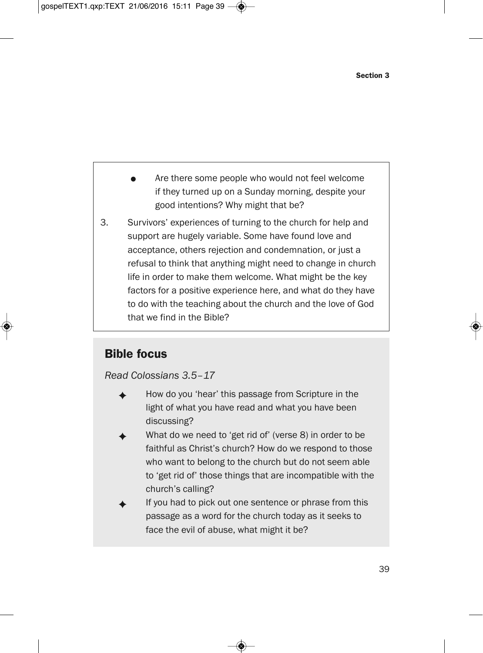- Are there some people who would not feel welcome if they turned up on a Sunday morning, despite your good intentions? Why might that be?
- 3. Survivors' experiences of turning to the church for help and support are hugely variable. Some have found love and acceptance, others rejection and condemnation, or just a refusal to think that anything might need to change in church life in order to make them welcome. What might be the key factors for a positive experience here, and what do they have to do with the teaching about the church and the love of God that we find in the Bible?

#### **Bible focus**

#### *Read Colossians 3.5–17*

- **✦** How do you 'hear' this passage from Scripture in the light of what you have read and what you have been discussing?
- What do we need to 'get rid of' (verse 8) in order to be faithful as Christ's church? How do we respond to those who want to belong to the church but do not seem able to 'get rid of' those things that are incompatible with the church's calling?
- If you had to pick out one sentence or phrase from this passage as a word for the church today as it seeks to face the evil of abuse, what might it be?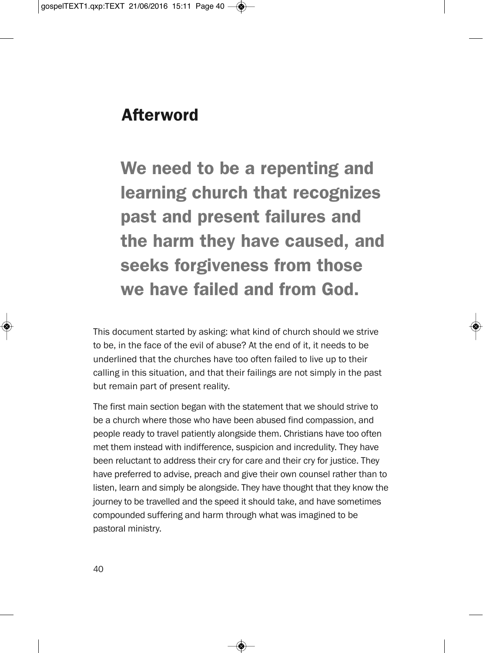### **Afterword**

**We need to be a repenting and learning church that recognizes past and present failures and the harm they have caused, and seeks forgiveness from those we have failed and from God.**

This document started by asking: what kind of church should we strive to be, in the face of the evil of abuse? At the end of it, it needs to be underlined that the churches have too often failed to live up to their calling in this situation, and that their failings are not simply in the past but remain part of present reality.

The first main section began with the statement that we should strive to be a church where those who have been abused find compassion, and people ready to travel patiently alongside them. Christians have too often met them instead with indifference, suspicion and incredulity. They have been reluctant to address their cry for care and their cry for justice. They have preferred to advise, preach and give their own counsel rather than to listen, learn and simply be alongside. They have thought that they know the journey to be travelled and the speed it should take, and have sometimes compounded suffering and harm through what was imagined to be pastoral ministry.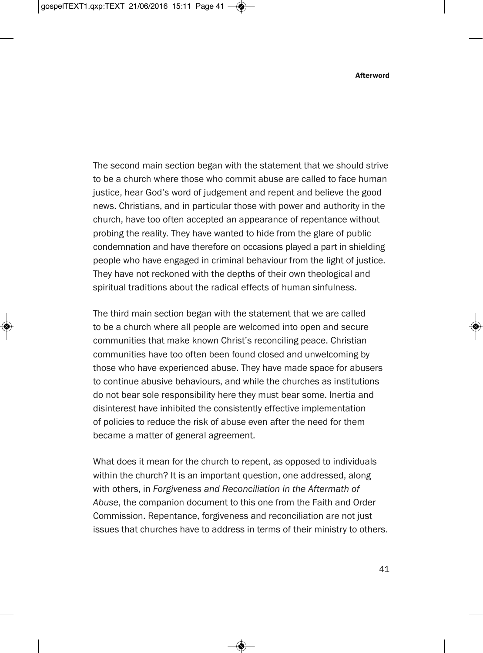The second main section began with the statement that we should strive to be a church where those who commit abuse are called to face human justice, hear God's word of judgement and repent and believe the good news. Christians, and in particular those with power and authority in the church, have too often accepted an appearance of repentance without probing the reality. They have wanted to hide from the glare of public condemnation and have therefore on occasions played a part in shielding people who have engaged in criminal behaviour from the light of justice. They have not reckoned with the depths of their own theological and spiritual traditions about the radical effects of human sinfulness.

The third main section began with the statement that we are called to be a church where all people are welcomed into open and secure communities that make known Christ's reconciling peace. Christian communities have too often been found closed and unwelcoming by those who have experienced abuse. They have made space for abusers to continue abusive behaviours, and while the churches as institutions do not bear sole responsibility here they must bear some. Inertia and disinterest have inhibited the consistently effective implementation of policies to reduce the risk of abuse even after the need for them became a matter of general agreement.

What does it mean for the church to repent, as opposed to individuals within the church? It is an important question, one addressed, along with others, in *Forgiveness and Reconciliation in the Aftermath of Abuse*, the companion document to this one from the Faith and Order Commission. Repentance, forgiveness and reconciliation are not just issues that churches have to address in terms of their ministry to others.

41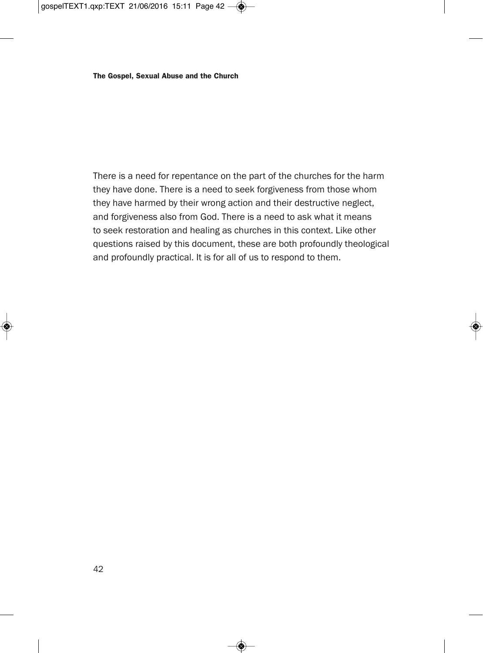There is a need for repentance on the part of the churches for the harm they have done. There is a need to seek forgiveness from those whom they have harmed by their wrong action and their destructive neglect, and forgiveness also from God. There is a need to ask what it means to seek restoration and healing as churches in this context. Like other questions raised by this document, these are both profoundly theological and profoundly practical. It is for all of us to respond to them.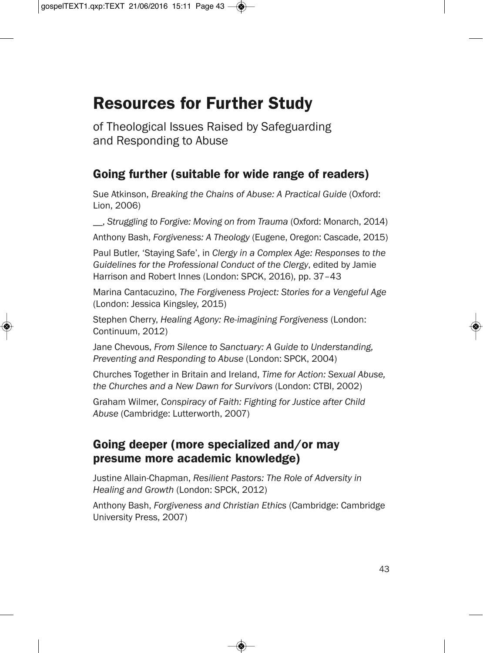# **Resources for Further Study**

of Theological Issues Raised by Safeguarding and Responding to Abuse

#### **Going further (suitable for wide range of readers)**

Sue Atkinson, *Breaking the Chains of Abuse: A Practical Guide* (Oxford: Lion, 2006)

\_\_, *Struggling to Forgive: Moving on from Trauma* (Oxford: Monarch, 2014)

Anthony Bash, *Forgiveness: A Theology* (Eugene, Oregon: Cascade, 2015)

Paul Butler, 'Staying Safe', in *Clergy in a Complex Age: Responses to the Guidelines for the Professional Conduct of the Clergy*, edited by Jamie Harrison and Robert Innes (London: SPCK, 2016), pp. 37–43

Marina Cantacuzino, *The Forgiveness Project: Stories for a Vengeful Age* (London: Jessica Kingsley, 2015)

Stephen Cherry, *Healing Agony: Re-imagining Forgiveness* (London: Continuum, 2012)

Jane Chevous, *From Silence to Sanctuary: A Guide to Understanding, Preventing and Responding to Abuse* (London: SPCK, 2004)

Churches Together in Britain and Ireland, *Time for Action: Sexual Abuse, the Churches and a New Dawn for Survivors* (London: CTBI, 2002)

Graham Wilmer, *Conspiracy of Faith: Fighting for Justice after Child Abuse* (Cambridge: Lutterworth, 2007)

#### **Going deeper (more specialized and/or may presume more academic knowledge)**

Justine Allain-Chapman, *Resilient Pastors: The Role of Adversity in Healing and Growth* (London: SPCK, 2012)

Anthony Bash, *Forgiveness and Christian Ethics* (Cambridge: Cambridge University Press, 2007)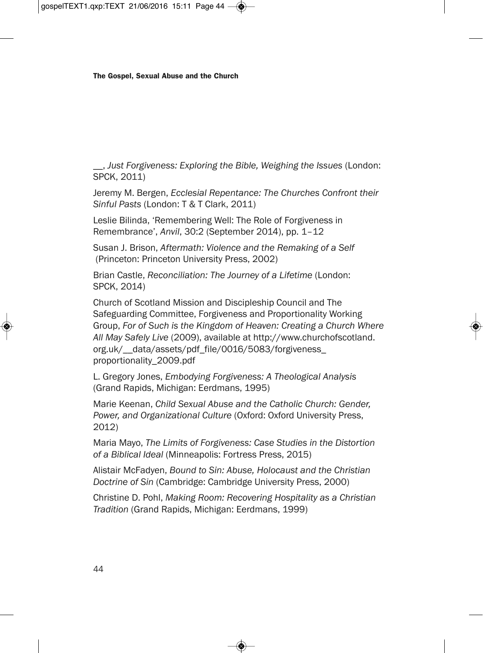\_\_, *Just Forgiveness: Exploring the Bible, Weighing the Issues* (London: SPCK, 2011)

Jeremy M. Bergen, *Ecclesial Repentance: The Churches Confront their Sinful Pasts* (London: T & T Clark, 2011)

Leslie Bilinda, 'Remembering Well: The Role of Forgiveness in Remembrance', *Anvil*, 30:2 (September 2014), pp. 1–12

Susan J. Brison, *Aftermath: Violence and the Remaking of a Self* (Princeton: Princeton University Press, 2002)

Brian Castle, *Reconciliation: The Journey of a Lifetime* (London: SPCK, 2014)

Church of Scotland Mission and Discipleship Council and The Safeguarding Committee, Forgiveness and Proportionality Working Group, *For of Such is the Kingdom of Heaven: Creating a Church Where All May Safely Live* (2009), available at http://www.churchofscotland. [org.uk/\\_\\_data/assets/pdf\\_file/0016/5083/forgiveness\\_](http://www.churchofscotland.org.uk/__data/assets/pdf_file/0016/5083/forgiveness_proportionality_2009.pdf) proportionality\_2009.pdf

L. Gregory Jones, *Embodying Forgiveness: A Theological Analysis* (Grand Rapids, Michigan: Eerdmans, 1995)

Marie Keenan, *Child Sexual Abuse and the Catholic Church: Gender, Power, and Organizational Culture* (Oxford: Oxford University Press, 2012)

Maria Mayo, *The Limits of Forgiveness: Case Studies in the Distortion of a Biblical Ideal* (Minneapolis: Fortress Press, 2015)

Alistair McFadyen, *Bound to Sin: Abuse, Holocaust and the Christian Doctrine of Sin* (Cambridge: Cambridge University Press, 2000)

Christine D. Pohl, *Making Room: Recovering Hospitality as a Christian Tradition* (Grand Rapids, Michigan: Eerdmans, 1999)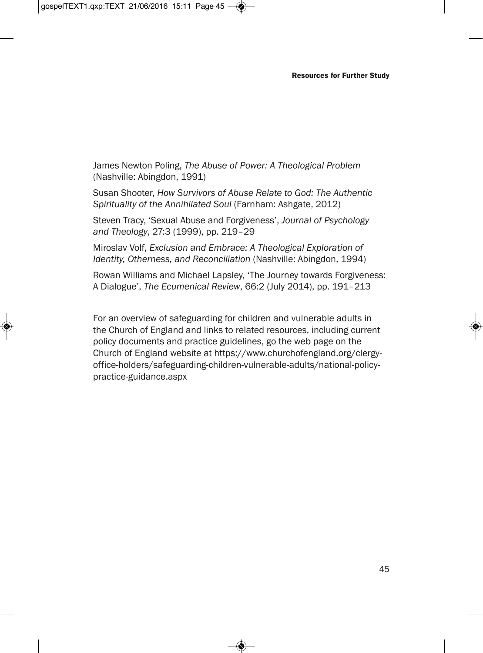James Newton Poling, *The Abuse of Power: A Theological Problem* (Nashville: Abingdon, 1991)

Susan Shooter, *How Survivors of Abuse Relate to God: The Authentic Spirituality of the Annihilated Soul* (Farnham: Ashgate, 2012)

Steven Tracy, 'Sexual Abuse and Forgiveness', *Journal of Psychology and Theology*, 27:3 (1999), pp. 219–29

Miroslav Volf, *Exclusion and Embrace: A Theological Exploration of Identity, Otherness, and Reconciliation* (Nashville: Abingdon, 1994)

Rowan Williams and Michael Lapsley, 'The Journey towards Forgiveness: A Dialogue', *The Ecumenical Review*, 66:2 (July 2014), pp. 191–213

For an overview of safeguarding for children and vulnerable adults in the Church of England and links to related resources, including current policy documents and practice guidelines, go the web page on the Church of England website at https://www.churchofengland.org/clergyoffice-holders/safeguarding-children-vulnerable-adults/national-policypractice-guidance.aspx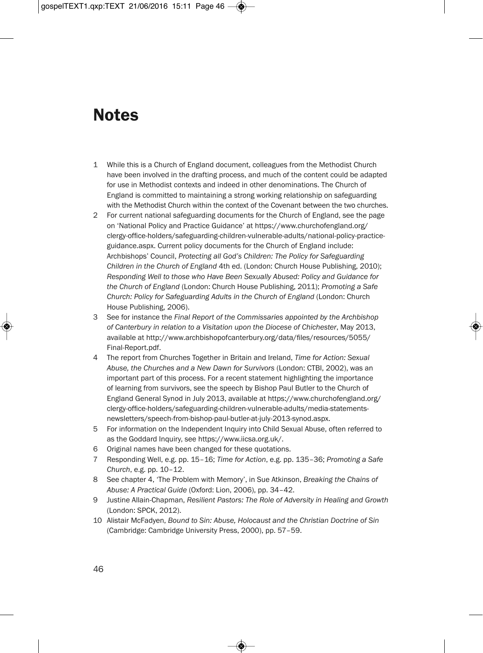#### **Notes**

- 1 While this is a Church of England document, colleagues from the Methodist Church have been involved in the drafting process, and much of the content could be adapted for use in Methodist contexts and indeed in other denominations. The Church of England is committed to maintaining a strong working relationship on safeguarding with the Methodist Church within the context of the Covenant between the two churches.
- 2 For current national safeguarding documents for the Church of England, see the page on 'National Policy and Practice Guidance' at https://www.churchofengland.org/ [clergy-office-holders/safeguarding-children-vulnerable-adults/national-policy-practice](https://www.churchofengland.org/clergy-office-holders/safeguarding-children-vulnerable-adults/national-policy-practice-guidance.aspx)guidance.aspx. Current policy documents for the Church of England include: Archbishops' Council, *Protecting all God's Children: The Policy for Safeguarding Children in the Church of England* 4th ed. (London: Church House Publishing, 2010); *Responding Well to those who Have Been Sexually Abused: Policy and Guidance for the Church of England* (London: Church House Publishing, 2011); *Promoting a Safe Church: Policy for Safeguarding Adults in the Church of England* (London: Church House Publishing, 2006).
- 3 See for instance the *Final Report of the Commissaries appointed by the Archbishop of Canterbury in relation to a Visitation upon the Diocese of Chichester*, May 2013, [available at http://www.archbishopofcanterbury.org/data/files/resources/5055/](http://www.archbishopofcanterbury.org/data/files/resources/5055/Final-Report.pdf) Final-Report.pdf.
- 4 The report from Churches Together in Britain and Ireland, *Time for Action: Sexual Abuse, the Churches and a New Dawn for Survivors* (London: CTBI, 2002), was an important part of this process. For a recent statement highlighting the importance of learning from survivors, see the speech by Bishop Paul Butler to the Church of England General Synod in July 2013, available at https://www.churchofengland.org/ [clergy-office-holders/safeguarding-children-vulnerable-adults/media-statements](https://www.churchofengland.org/clergy-office-holders/safeguarding-children-vulnerable-adults/media-statements-newsletters/speech-from-bishop-paul-butler-at-july-2013-synod.aspx)newsletters/speech-from-bishop-paul-butler-at-july-2013-synod.aspx.
- 5 For information on the Independent Inquiry into Child Sexual Abuse, often referred to as the Goddard Inquiry, see https://www.iicsa.org.uk/.
- 6 Original names have been changed for these quotations.
- 7 Responding Well, e.g. pp. 15–16; *Time for Action*, e.g. pp. 135–36; *Promoting a Safe Church*, e.g. pp. 10–12.
- 8 See chapter 4, 'The Problem with Memory', in Sue Atkinson, *Breaking the Chains of Abuse: A Practical Guide* (Oxford: Lion, 2006), pp. 34–42.
- 9 Justine Allain-Chapman, *Resilient Pastors: The Role of Adversity in Healing and Growth* (London: SPCK, 2012).
- 10 Alistair McFadyen, *Bound to Sin: Abuse, Holocaust and the Christian Doctrine of Sin* (Cambridge: Cambridge University Press, 2000), pp. 57–59.